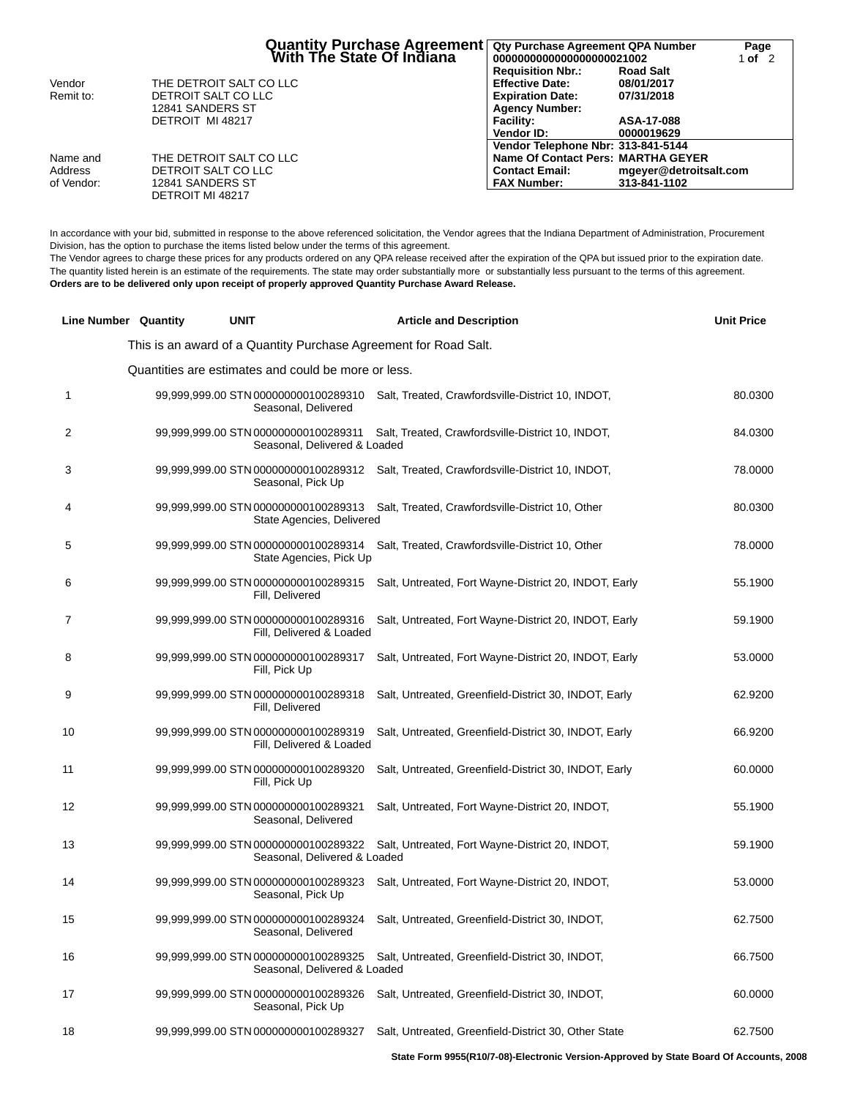|            |                         | Quantity Purchase Agreement | Qty Purchase Agreement QPA Number<br>0000000000000000000021002 |                        | Page<br>1 of $2$ |
|------------|-------------------------|-----------------------------|----------------------------------------------------------------|------------------------|------------------|
|            |                         |                             | <b>Requisition Nbr.:</b>                                       | <b>Road Salt</b>       |                  |
| Vendor     | THE DETROIT SALT CO LLC |                             | <b>Effective Date:</b>                                         | 08/01/2017             |                  |
| Remit to:  | DETROIT SALT CO LLC     |                             | <b>Expiration Date:</b>                                        | 07/31/2018             |                  |
|            | 12841 SANDERS ST        |                             | <b>Agency Number:</b>                                          |                        |                  |
|            | DETROIT MI 48217        |                             | <b>Facility:</b>                                               | ASA-17-088             |                  |
|            |                         |                             | Vendor ID:                                                     | 0000019629             |                  |
|            |                         |                             | Vendor Telephone Nbr: 313-841-5144                             |                        |                  |
| Name and   | THE DETROIT SALT CO LLC |                             | Name Of Contact Pers: MARTHA GEYER                             |                        |                  |
| Address    | DETROIT SALT CO LLC     |                             | <b>Contact Email:</b>                                          | mgeyer@detroitsalt.com |                  |
| of Vendor: | 12841 SANDERS ST        |                             | <b>FAX Number:</b>                                             | 313-841-1102           |                  |
|            | DETROIT MI 48217        |                             |                                                                |                        |                  |

In accordance with your bid, submitted in response to the above referenced solicitation, the Vendor agrees that the Indiana Department of Administration, Procurement Division, has the option to purchase the items listed below under the terms of this agreement.

The Vendor agrees to charge these prices for any products ordered on any QPA release received after the expiration of the QPA but issued prior to the expiration date. The quantity listed herein is an estimate of the requirements. The state may order substantially more or substantially less pursuant to the terms of this agreement. **Orders are to be delivered only upon receipt of properly approved Quantity Purchase Award Release.**

|    | <b>Line Number Quantity</b> | <b>UNIT</b>                                                          | <b>Article and Description</b>                        | <b>Unit Price</b> |
|----|-----------------------------|----------------------------------------------------------------------|-------------------------------------------------------|-------------------|
|    |                             | This is an award of a Quantity Purchase Agreement for Road Salt.     |                                                       |                   |
|    |                             | Quantities are estimates and could be more or less.                  |                                                       |                   |
| 1  |                             | 99,999,999.00 STN 000000000100289310<br>Seasonal, Delivered          | Salt, Treated, Crawfordsville-District 10, INDOT,     | 80.0300           |
| 2  |                             | 99,999,999.00 STN 000000000100289311<br>Seasonal, Delivered & Loaded | Salt, Treated, Crawfordsville-District 10, INDOT,     | 84.0300           |
| 3  |                             | 99,999,999.00 STN 000000000100289312<br>Seasonal, Pick Up            | Salt, Treated, Crawfordsville-District 10, INDOT,     | 78.0000           |
| 4  |                             | 99,999,999.00 STN 000000000100289313<br>State Agencies, Delivered    | Salt, Treated, Crawfordsville-District 10, Other      | 80.0300           |
| 5  |                             | 99,999,999.00 STN 000000000100289314<br>State Agencies, Pick Up      | Salt, Treated, Crawfordsville-District 10, Other      | 78.0000           |
| 6  |                             | 99,999,999.00 STN 000000000100289315<br>Fill, Delivered              | Salt, Untreated, Fort Wayne-District 20, INDOT, Early | 55.1900           |
| 7  |                             | 99,999,999.00 STN 000000000100289316<br>Fill, Delivered & Loaded     | Salt, Untreated, Fort Wayne-District 20, INDOT, Early | 59.1900           |
| 8  |                             | 99,999,999.00 STN 000000000100289317<br>Fill, Pick Up                | Salt, Untreated, Fort Wayne-District 20, INDOT, Early | 53.0000           |
| 9  |                             | 99,999,999.00 STN 000000000100289318<br>Fill, Delivered              | Salt, Untreated, Greenfield-District 30, INDOT, Early | 62.9200           |
| 10 |                             | 99,999,999.00 STN 000000000100289319<br>Fill, Delivered & Loaded     | Salt, Untreated, Greenfield-District 30, INDOT, Early | 66.9200           |
| 11 |                             | 99,999,999.00 STN 000000000100289320<br>Fill, Pick Up                | Salt, Untreated, Greenfield-District 30, INDOT, Early | 60.0000           |
| 12 |                             | 99,999,999.00 STN 000000000100289321<br>Seasonal, Delivered          | Salt, Untreated, Fort Wayne-District 20, INDOT,       | 55.1900           |
| 13 |                             | 99,999,999.00 STN 000000000100289322<br>Seasonal, Delivered & Loaded | Salt, Untreated, Fort Wayne-District 20, INDOT,       | 59.1900           |
| 14 |                             | 99,999,999.00 STN 000000000100289323<br>Seasonal, Pick Up            | Salt, Untreated, Fort Wayne-District 20, INDOT,       | 53.0000           |
| 15 |                             | 99,999,999.00 STN 000000000100289324<br>Seasonal, Delivered          | Salt, Untreated, Greenfield-District 30, INDOT,       | 62.7500           |
| 16 |                             | 99,999,999.00 STN 000000000100289325<br>Seasonal, Delivered & Loaded | Salt, Untreated, Greenfield-District 30, INDOT,       | 66.7500           |
| 17 |                             | 99,999,999.00 STN 000000000100289326<br>Seasonal, Pick Up            | Salt, Untreated, Greenfield-District 30, INDOT,       | 60.0000           |
| 18 |                             | 99,999,999.00 STN 000000000100289327                                 | Salt, Untreated, Greenfield-District 30, Other State  | 62.7500           |